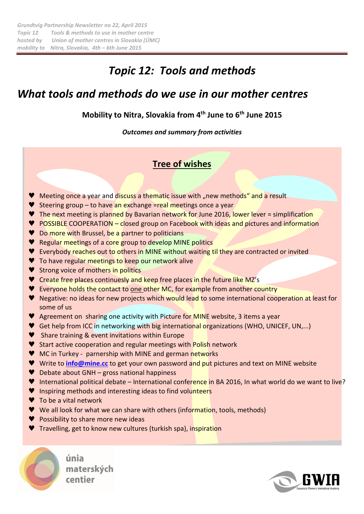# *Topic 12: Tools and methods*

# *What tools and methods do we use in our mother centres*

## **Mobility to Nitra, Slovakia from 4th June to 6th June 2015**

*Outcomes and summary from activities* 

## **Tree of wishes**

- Meeting once a year and discuss a thematic issue with "new methods" and a result
- ♥ Steering group to have an exchange =real meetings once a year
- ♥ The next meeting is planned by Bavarian network for June 2016, lower lever = simplification
- ♥ POSSIBLE COOPERATION closed group on Facebook with ideas and pictures and information
- ♥ Do more with Brussel, be a partner to politicians
- ♥ Regular meetings of a core group to develop MINE politics
- ♥ Everybody reaches out to others in MINE without waiting til they are contracted or invited
- ♥ To have regular meetings to keep our network alive
- ♥ Strong voice of mothers in politics
- ♥ Create free places continuesly and keep free places in the future like MZ's
- ♥ Everyone holds the contact to one other MC, for example from another country
- ♥ Negative: no ideas for new projects which would lead to some international cooperation at least for some of us
- ♥ Agreement on sharing one activity with Picture for MINE website, 3 items a year
- ♥ Get help from ICC in networking with big international organizations (WHO, UNICEF, UN,...)
- ♥ Share training & event invitations within Europe
- ♥ Start active cooperation and regular meetings with Polish network
- ♥ MC in Turkey parnership with MINE and german networks
- ♥ Write to **info@mine.cc** to get your own password and put pictures and text on MINE website
- ♥ Debate about GNH gross national happiness
- ♥ International political debate International conference in BA 2016, In what world do we want to live?
- ♥ Inspiring methods and interesting ideas to find volunteers
- ♥ To be a vital network
- ♥ We all look for what we can share with others (information, tools, methods)
- ♥ Possibility to share more new ideas
- ♥ Travelling, get to know new cultures (turkish spa), inspiration



únia materských centier

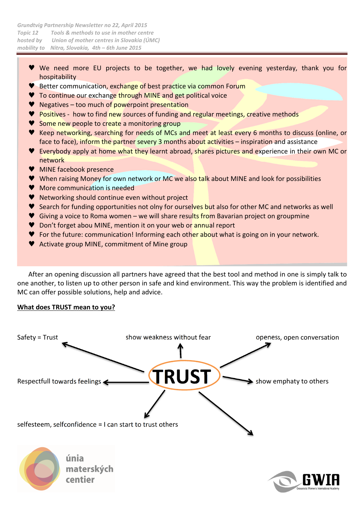- ♥ We need more EU projects to be together, we had lovely evening yesterday, thank you for hospitability
- ♥ Better communication, exchange of best practice via common Forum
- ♥ To continue our exchange through MINE and get political voice
- ♥ Negatives too much of powerpoint presentation
- ♥ Positives how to find new sources of funding and regular meetings, creative methods
- ♥ Some new people to create a monitoring group
- ♥ Keep networking, searching for needs of MCs and meet at least every 6 months to discuss (online, or face to face), inform the partner severy 3 months about activities – inspiration and assistance
- ♥ Everybody apply at home what they learnt abroad, shares pictures and experience in their own MC or network
- ♥ MINE facebook presence
- ♥ When raising Money for own network or MC we also talk about MINE and look for possibilities
- ♥ More communication is needed
- ♥ Networking should continue even without project
- ♥ Search for funding opportunities not olny for ourselves but also for other MC and networks as well
- ♥ Giving a voice to Roma women we will share results from Bavarian project on groupmine
- ♥ Don't forget abou MINE, mention it on your web or annual report
- ♥ For the future: communication! Informing each other about what is going on in your network.
- ♥ Activate group MINE, commitment of Mine group

After an opening discussion all partners have agreed that the best tool and method in one is simply talk to one another, to listen up to other person in safe and kind environment. This way the problem is identified and MC can offer possible solutions, help and advice.

#### **What does TRUST mean to you?**

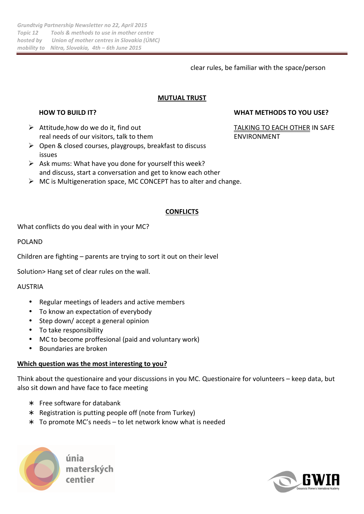clear rules, be familiar with the space/person

### **MUTUAL TRUST**

- Attitude, how do we do it, find out TALKING TO EACH OTHER IN SAFE real needs of our visitors, talk to them ENVIRONMENT
- $\triangleright$  Open & closed courses, playgroups, breakfast to discuss issues
- $\triangleright$  Ask mums: What have you done for yourself this week? and discuss, start a conversation and get to know each other
- $\triangleright$  MC is Multigeneration space, MC CONCEPT has to alter and change.

#### **CONFLICTS**

What conflicts do you deal with in your MC?

#### POLAND

Children are fighting – parents are trying to sort it out on their level

Solution> Hang set of clear rules on the wall.

#### AUSTRIA

- Regular meetings of leaders and active members
- To know an expectation of everybody
- Step down/ accept a general opinion
- To take responsibility
- MC to become proffesional (paid and voluntary work)
- Boundaries are broken

#### **Which question was the most interesting to you?**

Think about the questionaire and your discussions in you MC. Questionaire for volunteers – keep data, but also sit down and have face to face meeting

- Free software for databank
- ∗ Registration is putting people off (note from Turkey)
- ∗ To promote MC's needs to let network know what is needed



materských

#### **HOW TO BUILD IT? WHAT METHODS TO YOU USE?**

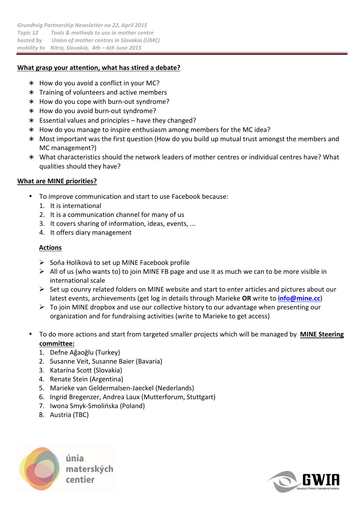### **What grasp your attention, what has stired a debate?**

- ∗ How do you avoid a conflict in your MC?
- ∗ Training of volunteers and active members
- ∗ How do you cope with burn-out syndrome?
- ∗ How do you avoid burn-out syndrome?
- ∗ Essential values and principles have they changed?
- ∗ How do you manage to inspire enthusiasm among members for the MC idea?
- Most important was the first question (How do you build up mutual trust amongst the members and MC management?)
- ∗ What characteristics should the network leaders of mother centres or individual centres have? What qualities should they have?

### **What are MINE priorities?**

- To improve communication and start to use Facebook because:
	- 1. It is international
	- 2. It is a communication channel for many of us
	- 3. It covers sharing of information, ideas, events, ...
	- 4. It offers diary management

#### **Actions**

- $\triangleright$  Soňa Holíková to set up MINE Facebook profile
- $\triangleright$  All of us (who wants to) to join MINE FB page and use it as much we can to be more visible in international scale
- $\triangleright$  Set up counry related folders on MINE website and start to enter articles and pictures about our latest events, archievements (get log in details through Marieke **OR** write to **info@mine.cc**)
- $\triangleright$  To join MINE dropbox and use our collective history to our advantage when presenting our organization and for fundraising activities (write to Marieke to get access)
- To do more actions and start from targeted smaller projects which will be managed by **MINE Steering committee:**
	- 1. Defne Ağaoğlu (Turkey)
	- 2. Susanne Veit, Susanne Baier (Bavaria)
	- 3. Katarína Scott (Slovakia)
	- 4. Renate Stein (Argentina)
	- 5. Marieke van Geldermalsen-Jaeckel (Nederlands)
	- 6. Ingrid Bregenzer, Andrea Laux (Mutterforum, Stuttgart)
	- 7. Iwona Smyk-Smolińska (Poland)
	- 8. Austria (TBC)



materských